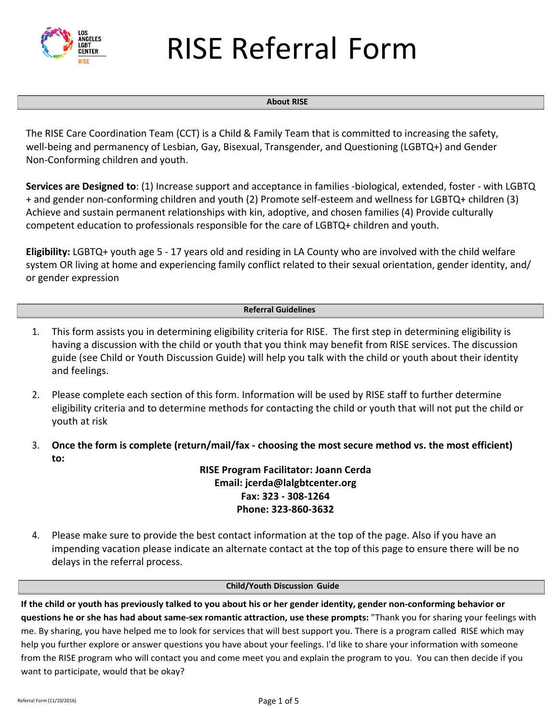

# RISE Referral Form

#### **About RISE**

The RISE Care Coordination Team (CCT) is a Child & Family Team that is committed to increasing the safety, well-being and permanency of Lesbian, Gay, Bisexual, Transgender, and Questioning (LGBTQ+) and Gender Non-Conforming children and youth.

**Services are Designed to**: (1) Increase support and acceptance in families -biological, extended, foster - with LGBTQ +a[nd gender non-conformi](mailto:jcerda@lalgbtcenter.org)ng children and youth (2) Promote self-esteem and wellness for LGBTQ+ children (3) Achieve and sustain permanent relationships with kin, adoptive, and chosen families (4) Provide culturally competent education to professionals responsible for the care of LGBTQ+ children and youth.

**Eligibility:** LGBTQ+ youth age 5 - 17 years old and residing in LA County who are involved with the child welfare system OR living at home and experiencing family conflict related to their sexual orientation, gender identity, and/ or gender expression

#### **Referral Guidelines**

- 1. This form assists you in determining eligibility criteria for RISE. The first step in determining eligibility is having a discussion with the child or youth that you think may benefit from RISE services. The discussion guide (see Child or Youth Discussion Guide) will help you talk with the child or youth about their identity and feelings.
- 2. Please complete each section of this form. Information will be used by RISE staff to further determine eligibility criteria and to determine methods for contacting the child or youth that will not put the child or youth at risk
- 3. **Once the form is complete (return/mail/fax choosing the most secure method vs. the most efficient) to:**

**RISE Program Facilitator: Joann Cerda Email: jcerda@lalgbtcenter.org Fax: 323 - 308-1264 Phone: 323-860-3632**

4. Please make sure to provide the best contact information at the top of the page. Also if you have an impending vacation please indicate an alternate contact at the top of this page to ensure there will be no delays in the referral process.

#### **Child/Youth Discussion Guide**

**If the child or youth has previously talked to you about his or her gender identity, gender non-conforming behavior or questions he or she has had about same-sex romantic attraction, use these prompts:** "Thank you for sharing your feelings with me. By sharing, you have helped me to look for services that will best support you. There is a program called RISE which may help you further explore or answer questions you have about your feelings. I'd like to share your information with someone from the RISE program who will contact you and come meet you and explain the program to you. You can then decide if you want to participate, would that be okay?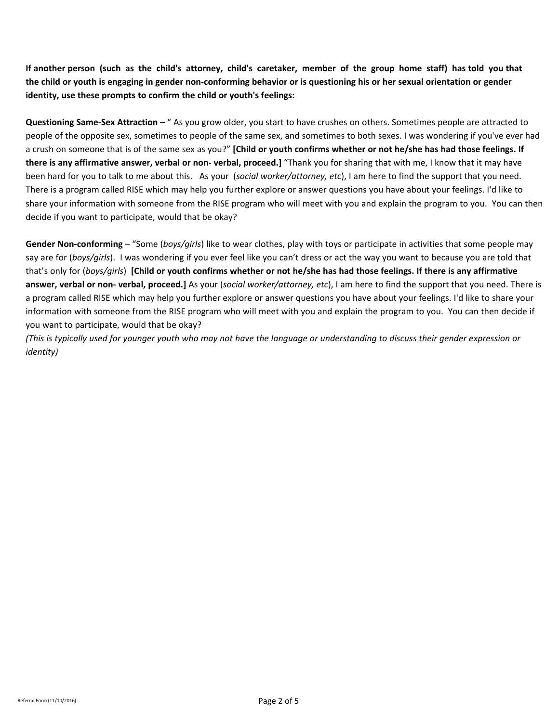**If another person (such as the child's attorney, child's caretaker, member of the group home staff) has told you that the child or youth is engaging in gender non-conforming behavior or is questioning his or her sexual orientation or gender identity, use these prompts to confirm the child or youth's feelings:** 

**Questioning Same-Sex Attraction** – " As you grow older, you start to have crushes on others. Sometimes people are attracted to people of the opposite sex, sometimes to people of the same sex, and sometimes to both sexes. I was wondering if you've ever had a crush on someone that is of the same sex as you?" **[Child or youth confirms whether or not he/she has had those feelings. If there is any affirmative answer, verbal or non- verbal, proceed.]** "Thank you for sharing that with me, I know that it may have been hard for you to talk to me about this. As your (*social worker/attorney, etc*), I am here to find the support that you need. There is a program called RISE which may help you further explore or answer questions you have about your feelings. I'd like to share your information with someone from the RISE program who will meet with you and explain the program to you. You can then decide if you want to participate, would that be okay?

**Gender Non-conforming** – "Some (*boys/girls*) like to wear clothes, play with toys or participate in activities that some people may say are for (*boys/girls*). I was wondering if you ever feel like you can't dress or act the way you want to because you are told that that's only for (*boys/girls*) **[Child or youth confirms whether or not he/she has had those feelings. If there is any affirmative answer, verbal or non- verbal, proceed.]** As your (*social worker/attorney, etc*), I am here to find the support that you need. There is a program called RISE which may help you further explore or answer questions you have about your feelings. I'd like to share your information with someone from the RISE program who will meet with you and explain the program to you. You can then decide if you want to participate, would that be okay?

*(This is typically used for younger youth who may not have the language or understanding to discuss their gender expression or identity)*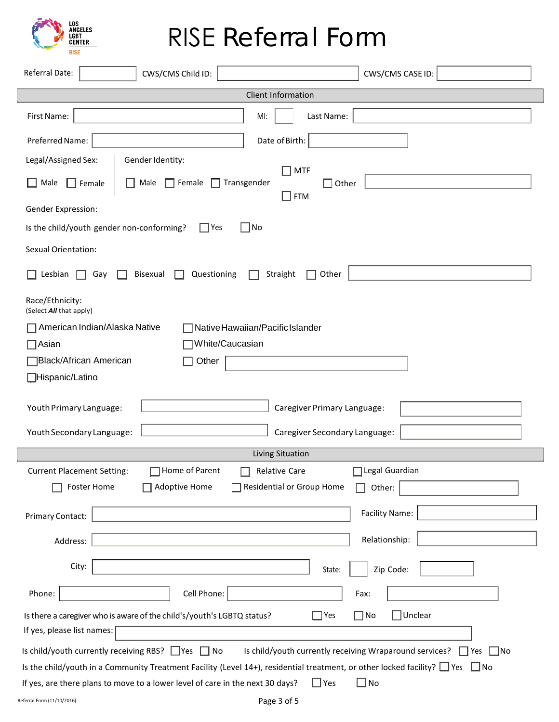

## RISE Referral Form

| Referral Date:<br>CWS/CMS Child ID:<br>CWS/CMS CASE ID:                                                                                        |  |  |  |
|------------------------------------------------------------------------------------------------------------------------------------------------|--|--|--|
| Client Information                                                                                                                             |  |  |  |
| First Name:<br>Last Name:<br>MI:                                                                                                               |  |  |  |
| Preferred Name:<br>Date of Birth:                                                                                                              |  |  |  |
| Legal/Assigned Sex:<br>Gender Identity:<br>$\sqcap$ MTF                                                                                        |  |  |  |
| Male<br>$\Box$ Female<br>$\Box$ Transgender<br>$\Box$ Female<br>Male<br>$\Box$ Other<br>$\Box$ FTM                                             |  |  |  |
| Gender Expression:                                                                                                                             |  |  |  |
| $\Box$ No<br>Is the child/youth gender non-conforming?<br>  Yes                                                                                |  |  |  |
| Sexual Orientation:                                                                                                                            |  |  |  |
| Questioning<br>Straight<br>Lesbian<br>Bisexual<br>Other<br>Gay                                                                                 |  |  |  |
| Race/Ethnicity:<br>(Select All that apply)                                                                                                     |  |  |  |
| American Indian/Alaska Native<br>Native Hawaiian/Pacific Islander                                                                              |  |  |  |
| White/Caucasian<br>¶Asian                                                                                                                      |  |  |  |
| Black/African American<br>Other                                                                                                                |  |  |  |
| <b>H</b> ispanic/Latino                                                                                                                        |  |  |  |
| Youth Primary Language:<br>Caregiver Primary Language:                                                                                         |  |  |  |
| Youth Secondary Language:<br>Caregiver Secondary Language:                                                                                     |  |  |  |
| Living Situation                                                                                                                               |  |  |  |
| Home of Parent<br>Legal Guardian<br><b>Current Placement Setting:</b><br><b>Relative Care</b>                                                  |  |  |  |
| Foster Home<br><b>Adoptive Home</b><br>$\Box$ Residential or Group Home<br>Other:<br>H                                                         |  |  |  |
| <b>Facility Name:</b><br>Primary Contact:                                                                                                      |  |  |  |
| Relationship:<br>Address:                                                                                                                      |  |  |  |
| City:<br>Zip Code:<br>State:                                                                                                                   |  |  |  |
| Phone:<br>Cell Phone:<br>Fax:                                                                                                                  |  |  |  |
| $\Box$ Yes<br>$\Box$ No<br>Unclear<br>Is there a caregiver who is aware of the child's/youth's LGBTQ status?                                   |  |  |  |
| If yes, please list names:                                                                                                                     |  |  |  |
| Is child/youth currently receiving RBS? $\Box$ Yes $\Box$ No<br>Is child/youth currently receiving Wraparound services?<br>$\Box$ No<br>∣ ∣Yes |  |  |  |
| Is the child/youth in a Community Treatment Facility (Level 14+), residential treatment, or other locked facility? $\Box$ Yes $\Box$ No        |  |  |  |
| $\Box$ Yes<br>$\square$ No<br>If yes, are there plans to move to a lower level of care in the next 30 days?                                    |  |  |  |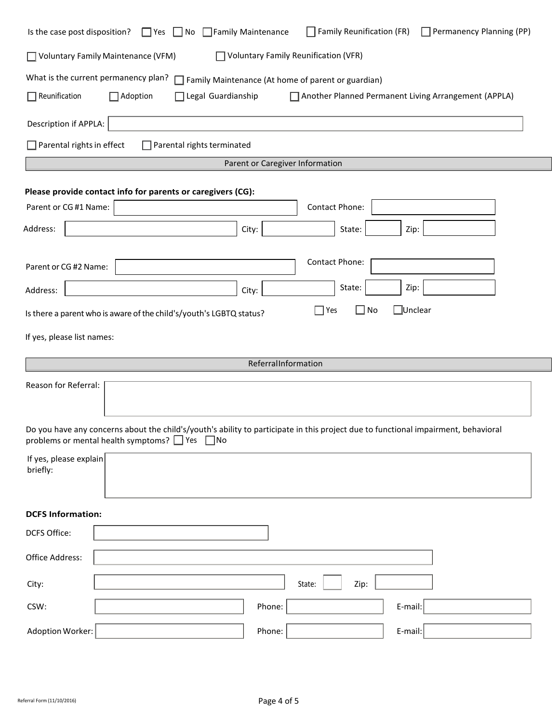| Is the case post disposition?                                       | Family Reunification (FR)<br>$\Box$ Permanency Planning (PP)<br>$\Box$ Yes $\Box$ No $\Box$ Family Maintenance                     |  |
|---------------------------------------------------------------------|------------------------------------------------------------------------------------------------------------------------------------|--|
| □ Voluntary Family Maintenance (VFM)                                | <b>Voluntary Family Reunification (VFR)</b>                                                                                        |  |
| What is the current permanency plan?                                | Family Maintenance (At home of parent or guardian)                                                                                 |  |
| $\Box$ Reunification<br>□Adoption                                   | Legal Guardianship<br>Another Planned Permanent Living Arrangement (APPLA)                                                         |  |
| Description if APPLA:                                               |                                                                                                                                    |  |
| $\Box$ Parental rights in effect                                    | $\Box$ Parental rights terminated                                                                                                  |  |
|                                                                     | Parent or Caregiver Information                                                                                                    |  |
| Please provide contact info for parents or caregivers (CG):         |                                                                                                                                    |  |
| Parent or CG #1 Name:                                               | Contact Phone:                                                                                                                     |  |
| Address:                                                            | City:<br>State:<br>Zip:                                                                                                            |  |
| Parent or CG #2 Name:                                               | Contact Phone:                                                                                                                     |  |
| Address:                                                            | State:<br>Zip:<br>City:                                                                                                            |  |
| Is there a parent who is aware of the child's/youth's LGBTQ status? | □Unclear<br>$\Box$ Yes<br>$\mathsf{I}$<br>No                                                                                       |  |
| If yes, please list names:                                          |                                                                                                                                    |  |
|                                                                     | ReferralInformation                                                                                                                |  |
| Reason for Referral:                                                |                                                                                                                                    |  |
| problems or mental health symptoms? □ Yes □ No                      | Do you have any concerns about the child's/youth's ability to participate in this project due to functional impairment, behavioral |  |
| If yes, please explain<br>briefly:                                  |                                                                                                                                    |  |
| <b>DCFS Information:</b>                                            |                                                                                                                                    |  |
| DCFS Office:                                                        |                                                                                                                                    |  |
| Office Address:                                                     |                                                                                                                                    |  |
| City:                                                               | Zip:<br>State:                                                                                                                     |  |
| CSW:                                                                | Phone:<br>E-mail:                                                                                                                  |  |
| Adoption Worker:                                                    | Phone:<br>E-mail:                                                                                                                  |  |